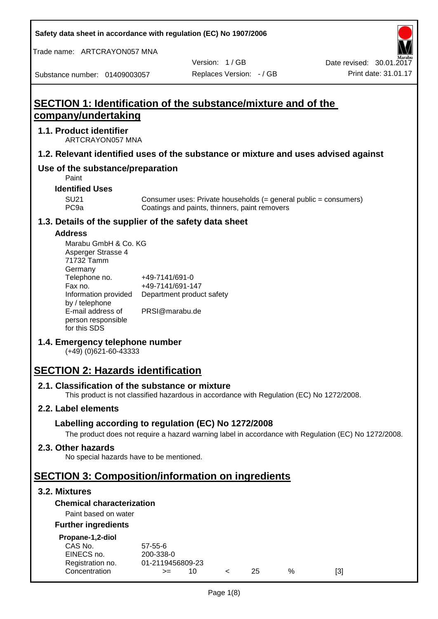**Safety data sheet in accordance with regulation (EC) No 1907/2006**

Trade name: ARTCRAYON057 MNA

Version: 1 / GB

Substance number: 01409003057

# **SECTION 1: Identification of the substance/mixture and of the company/undertaking**

#### **1.1. Product identifier**

ARTCRAYON057 MNA

#### **1.2. Relevant identified uses of the substance or mixture and uses advised against**

# **Use of the substance/preparation**

Paint

#### **Identified Uses**

SU21 Consumer uses: Private households (= general public = consumers)<br>PC9a Coatings and paints, thinners, paint removers Coatings and paints, thinners, paint removers

#### **1.3. Details of the supplier of the safety data sheet**

#### **Address**

| Marabu GmbH & Co. KG |                           |
|----------------------|---------------------------|
| Asperger Strasse 4   |                           |
| 71732 Tamm           |                           |
| Germany              |                           |
| Telephone no.        | +49-7141/691-0            |
| Fax no.              | +49-7141/691-147          |
| Information provided | Department product safety |
| by / telephone       |                           |
| E-mail address of    | PRSI@marabu.de            |
| person responsible   |                           |
| for this SDS         |                           |

## **1.4. Emergency telephone number**

(+49) (0)621-60-43333

# **SECTION 2: Hazards identification**

#### **2.1. Classification of the substance or mixture**

This product is not classified hazardous in accordance with Regulation (EC) No 1272/2008.

## **2.2. Label elements**

## **Labelling according to regulation (EC) No 1272/2008**

The product does not require a hazard warning label in accordance with Regulation (EC) No 1272/2008.

#### **2.3. Other hazards**

No special hazards have to be mentioned.

# **SECTION 3: Composition/information on ingredients**

## **3.2. Mixtures**

## **Chemical characterization**

## Paint based on water

#### **Further ingredients**

| Propane-1,2-diol |  |
|------------------|--|
|                  |  |

| CAS No.          | $57 - 55 - 6$    |  |     |   |     |
|------------------|------------------|--|-----|---|-----|
| EINECS no.       | 200-338-0        |  |     |   |     |
| Registration no. | 01-2119456809-23 |  |     |   |     |
| Concentration    | $>=$             |  | 25. | % | [3] |
|                  |                  |  |     |   |     |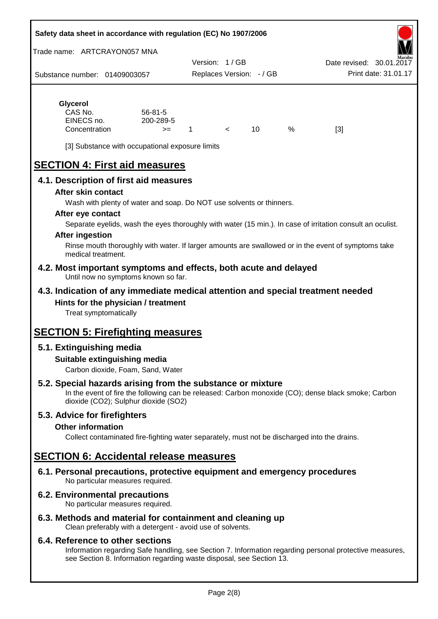#### **Safety data sheet in accordance with regulation (EC) No 1907/2006**

Trade name: ARTCRAYON057 MNA

Substance number: 01409003057 Version: 1 / GB Replaces Version: - / GB Print date: 31.01.17 Date revised: 30.01.2

# **Glycerol**

| CAS No.       | $56 - 81 - 5$ |  |   |     |
|---------------|---------------|--|---|-----|
| EINECS no.    | 200-289-5     |  |   |     |
| Concentration | $>=$          |  | % | [3] |

[3] Substance with occupational exposure limits

# **SECTION 4: First aid measures**

## **4.1. Description of first aid measures**

#### **After skin contact**

Wash with plenty of water and soap. Do NOT use solvents or thinners.

#### **After eye contact**

Separate eyelids, wash the eyes thoroughly with water (15 min.). In case of irritation consult an oculist.

#### **After ingestion**

Rinse mouth thoroughly with water. If larger amounts are swallowed or in the event of symptoms take medical treatment.

#### **4.2. Most important symptoms and effects, both acute and delayed** Until now no symptoms known so far.

## **4.3. Indication of any immediate medical attention and special treatment needed Hints for the physician / treatment**

Treat symptomatically

# **SECTION 5: Firefighting measures**

# **5.1. Extinguishing media**

## **Suitable extinguishing media**

Carbon dioxide, Foam, Sand, Water

# **5.2. Special hazards arising from the substance or mixture**

In the event of fire the following can be released: Carbon monoxide (CO); dense black smoke; Carbon dioxide (CO2); Sulphur dioxide (SO2)

## **5.3. Advice for firefighters**

#### **Other information**

Collect contaminated fire-fighting water separately, must not be discharged into the drains.

# **SECTION 6: Accidental release measures**

**6.1. Personal precautions, protective equipment and emergency procedures** No particular measures required.

## **6.2. Environmental precautions**

No particular measures required.

## **6.3. Methods and material for containment and cleaning up**

Clean preferably with a detergent - avoid use of solvents.

#### **6.4. Reference to other sections**

Information regarding Safe handling, see Section 7. Information regarding personal protective measures, see Section 8. Information regarding waste disposal, see Section 13.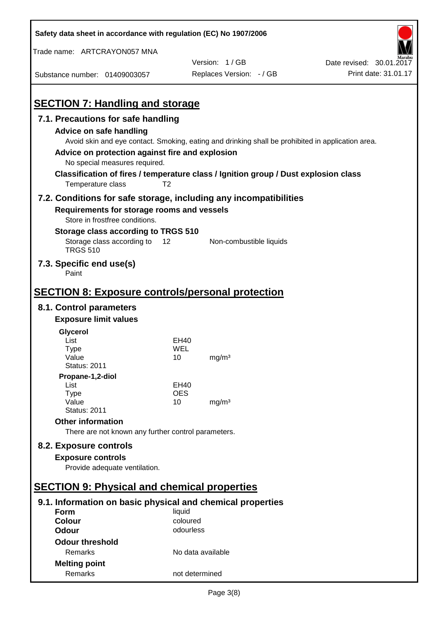| Safety data sheet in accordance with regulation (EC) No 1907/2006                                                                                 |                       |                                                                                                   |                          |
|---------------------------------------------------------------------------------------------------------------------------------------------------|-----------------------|---------------------------------------------------------------------------------------------------|--------------------------|
| Trade name: ARTCRAYON057 MNA                                                                                                                      |                       |                                                                                                   |                          |
|                                                                                                                                                   |                       | Version: 1/GB                                                                                     | Date revised: 30.01.2017 |
| Substance number: 01409003057                                                                                                                     |                       | Replaces Version: - / GB                                                                          | Print date: 31.01.17     |
| <b>SECTION 7: Handling and storage</b>                                                                                                            |                       |                                                                                                   |                          |
| 7.1. Precautions for safe handling                                                                                                                |                       |                                                                                                   |                          |
| Advice on safe handling<br>Advice on protection against fire and explosion<br>No special measures required.                                       |                       | Avoid skin and eye contact. Smoking, eating and drinking shall be prohibited in application area. |                          |
| Temperature class                                                                                                                                 | T <sub>2</sub>        | Classification of fires / temperature class / Ignition group / Dust explosion class               |                          |
| 7.2. Conditions for safe storage, including any incompatibilities<br>Requirements for storage rooms and vessels<br>Store in frostfree conditions. |                       |                                                                                                   |                          |
| Storage class according to TRGS 510                                                                                                               |                       |                                                                                                   |                          |
| Storage class according to<br><b>TRGS 510</b>                                                                                                     | 12                    | Non-combustible liquids                                                                           |                          |
| 7.3. Specific end use(s)<br>Paint                                                                                                                 |                       |                                                                                                   |                          |
| <b>SECTION 8: Exposure controls/personal protection</b>                                                                                           |                       |                                                                                                   |                          |
| 8.1. Control parameters                                                                                                                           |                       |                                                                                                   |                          |
| <b>Exposure limit values</b>                                                                                                                      |                       |                                                                                                   |                          |
| Glycerol                                                                                                                                          |                       |                                                                                                   |                          |
| List                                                                                                                                              | EH40                  |                                                                                                   |                          |
| Type<br>Value                                                                                                                                     | WEL<br>10             | mg/m <sup>3</sup>                                                                                 |                          |
| <b>Status: 2011</b>                                                                                                                               |                       |                                                                                                   |                          |
| Propane-1,2-diol                                                                                                                                  |                       |                                                                                                   |                          |
| List                                                                                                                                              | EH40                  |                                                                                                   |                          |
| <b>Type</b><br>Value                                                                                                                              | <b>OES</b><br>10      | mg/m <sup>3</sup>                                                                                 |                          |
| <b>Status: 2011</b>                                                                                                                               |                       |                                                                                                   |                          |
| <b>Other information</b>                                                                                                                          |                       |                                                                                                   |                          |
| There are not known any further control parameters.                                                                                               |                       |                                                                                                   |                          |
| 8.2. Exposure controls                                                                                                                            |                       |                                                                                                   |                          |
| <b>Exposure controls</b><br>Provide adequate ventilation.                                                                                         |                       |                                                                                                   |                          |
|                                                                                                                                                   |                       |                                                                                                   |                          |
| <b>SECTION 9: Physical and chemical properties</b>                                                                                                |                       |                                                                                                   |                          |
| 9.1. Information on basic physical and chemical properties                                                                                        |                       |                                                                                                   |                          |
| <b>Form</b>                                                                                                                                       | liquid                |                                                                                                   |                          |
| <b>Colour</b><br><b>Odour</b>                                                                                                                     | coloured<br>odourless |                                                                                                   |                          |
|                                                                                                                                                   |                       |                                                                                                   |                          |
| <b>Odour threshold</b>                                                                                                                            |                       |                                                                                                   |                          |
| Remarks                                                                                                                                           | No data available     |                                                                                                   |                          |
| <b>Melting point</b><br>Remarks                                                                                                                   | not determined        |                                                                                                   |                          |
|                                                                                                                                                   |                       |                                                                                                   |                          |

 $\mathbf{r}$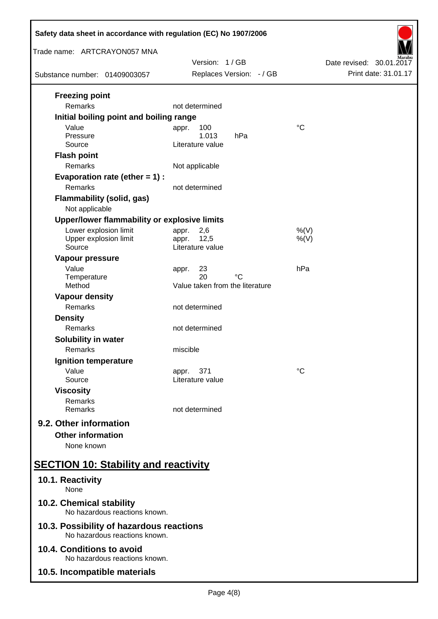| Safety data sheet in accordance with regulation (EC) No 1907/2006                                                           |                                                            |                          |  |  |
|-----------------------------------------------------------------------------------------------------------------------------|------------------------------------------------------------|--------------------------|--|--|
| Trade name: ARTCRAYON057 MNA                                                                                                | Version: 1/GB                                              | Date revised: 30.01.2017 |  |  |
| Substance number: 01409003057                                                                                               | Replaces Version: - / GB                                   | Print date: 31.01.17     |  |  |
| <b>Freezing point</b><br><b>Remarks</b>                                                                                     | not determined                                             |                          |  |  |
| Initial boiling point and boiling range<br>Value<br>Pressure<br>Source<br><b>Flash point</b>                                | 100<br>appr.<br>1.013<br>hPa<br>Literature value           | $^{\circ}C$              |  |  |
| Remarks<br>Evaporation rate (ether $= 1$ ) :<br>Remarks<br><b>Flammability (solid, gas)</b>                                 | Not applicable<br>not determined                           |                          |  |  |
| Not applicable                                                                                                              |                                                            |                          |  |  |
| Upper/lower flammability or explosive limits<br>Lower explosion limit<br>Upper explosion limit<br>Source<br>Vapour pressure | 2,6<br>appr.<br>12,5<br>appr.<br>Literature value          | $%$ (V)<br>$%$ (V)       |  |  |
| Value<br>Temperature<br>Method                                                                                              | 23<br>appr.<br>20<br>°C<br>Value taken from the literature | hPa                      |  |  |
| <b>Vapour density</b><br>Remarks                                                                                            | not determined                                             |                          |  |  |
| <b>Density</b><br>Remarks                                                                                                   | not determined                                             |                          |  |  |
| <b>Solubility in water</b><br>Remarks                                                                                       | miscible                                                   |                          |  |  |
| Ignition temperature<br>Value<br>Source                                                                                     | 371<br>appr.<br>Literature value                           | $^{\circ}C$              |  |  |
| <b>Viscosity</b><br>Remarks<br>Remarks                                                                                      | not determined                                             |                          |  |  |
| 9.2. Other information<br><b>Other information</b><br>None known                                                            |                                                            |                          |  |  |
| <b>SECTION 10: Stability and reactivity</b>                                                                                 |                                                            |                          |  |  |
| 10.1. Reactivity<br>None                                                                                                    |                                                            |                          |  |  |
| 10.2. Chemical stability<br>No hazardous reactions known.                                                                   |                                                            |                          |  |  |
| 10.3. Possibility of hazardous reactions<br>No hazardous reactions known.                                                   |                                                            |                          |  |  |
| 10.4. Conditions to avoid<br>No hazardous reactions known.                                                                  |                                                            |                          |  |  |
| 10.5. Incompatible materials                                                                                                |                                                            |                          |  |  |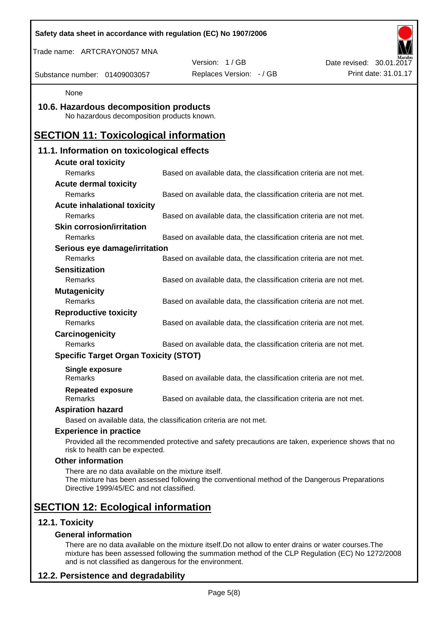| Safety data sheet in accordance with regulation (EC) No 1907/2006<br>Trade name: ARTCRAYON057 MNA |                                                                                                    |                          |
|---------------------------------------------------------------------------------------------------|----------------------------------------------------------------------------------------------------|--------------------------|
|                                                                                                   | Version: 1/GB                                                                                      | Date revised: 30.01.2017 |
| Substance number: 01409003057                                                                     | Replaces Version: - / GB                                                                           | Print date: 31.01.17     |
| None                                                                                              |                                                                                                    |                          |
| 10.6. Hazardous decomposition products<br>No hazardous decomposition products known.              |                                                                                                    |                          |
| <b>SECTION 11: Toxicological information</b>                                                      |                                                                                                    |                          |
| 11.1. Information on toxicological effects                                                        |                                                                                                    |                          |
| <b>Acute oral toxicity</b>                                                                        |                                                                                                    |                          |
| Remarks                                                                                           | Based on available data, the classification criteria are not met.                                  |                          |
| <b>Acute dermal toxicity</b>                                                                      |                                                                                                    |                          |
| <b>Remarks</b>                                                                                    | Based on available data, the classification criteria are not met.                                  |                          |
| <b>Acute inhalational toxicity</b>                                                                |                                                                                                    |                          |
| Remarks                                                                                           | Based on available data, the classification criteria are not met.                                  |                          |
| <b>Skin corrosion/irritation</b>                                                                  |                                                                                                    |                          |
| Remarks                                                                                           | Based on available data, the classification criteria are not met.                                  |                          |
| Serious eye damage/irritation                                                                     |                                                                                                    |                          |
| Remarks                                                                                           | Based on available data, the classification criteria are not met.                                  |                          |
| <b>Sensitization</b>                                                                              |                                                                                                    |                          |
| Remarks                                                                                           | Based on available data, the classification criteria are not met.                                  |                          |
| <b>Mutagenicity</b>                                                                               |                                                                                                    |                          |
| Remarks                                                                                           | Based on available data, the classification criteria are not met.                                  |                          |
| <b>Reproductive toxicity</b>                                                                      |                                                                                                    |                          |
| Remarks                                                                                           | Based on available data, the classification criteria are not met.                                  |                          |
| Carcinogenicity                                                                                   |                                                                                                    |                          |
| Remarks                                                                                           | Based on available data, the classification criteria are not met.                                  |                          |
| <b>Specific Target Organ Toxicity (STOT)</b>                                                      |                                                                                                    |                          |
| <b>Single exposure</b><br><b>Remarks</b>                                                          | Based on available data, the classification criteria are not met.                                  |                          |
| <b>Repeated exposure</b><br>Remarks                                                               | Based on available data, the classification criteria are not met.                                  |                          |
| <b>Aspiration hazard</b>                                                                          |                                                                                                    |                          |
|                                                                                                   | Based on available data, the classification criteria are not met.                                  |                          |
| <b>Experience in practice</b>                                                                     |                                                                                                    |                          |
| risk to health can be expected.                                                                   | Provided all the recommended protective and safety precautions are taken, experience shows that no |                          |
| <b>Other information</b>                                                                          |                                                                                                    |                          |
| There are no data available on the mixture itself.<br>Directive 1999/45/EC and not classified.    | The mixture has been assessed following the conventional method of the Dangerous Preparations      |                          |
| <b>SECTION 12: Ecological information</b>                                                         |                                                                                                    |                          |
| 12.1. Toxicity                                                                                    |                                                                                                    |                          |
| <b>General information</b>                                                                        |                                                                                                    |                          |

There are no data available on the mixture itself.Do not allow to enter drains or water courses.The mixture has been assessed following the summation method of the CLP Regulation (EC) No 1272/2008 and is not classified as dangerous for the environment.

# **12.2. Persistence and degradability**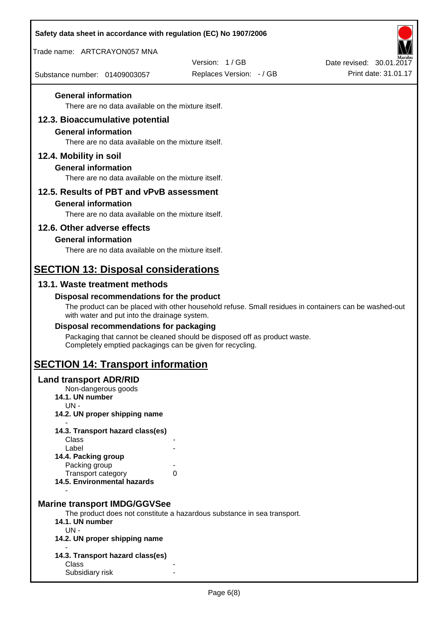| Safety data sheet in accordance with regulation (EC) No 1907/2006                                                   |                                                                                                       |                                                  |
|---------------------------------------------------------------------------------------------------------------------|-------------------------------------------------------------------------------------------------------|--------------------------------------------------|
| Trade name: ARTCRAYON057 MNA                                                                                        |                                                                                                       |                                                  |
| Substance number: 01409003057                                                                                       | Version: 1/GB<br>Replaces Version: - / GB                                                             | Date revised: 30.01.2017<br>Print date: 31.01.17 |
| <b>General information</b>                                                                                          |                                                                                                       |                                                  |
| There are no data available on the mixture itself.                                                                  |                                                                                                       |                                                  |
| 12.3. Bioaccumulative potential<br><b>General information</b><br>There are no data available on the mixture itself. |                                                                                                       |                                                  |
| 12.4. Mobility in soil                                                                                              |                                                                                                       |                                                  |
| <b>General information</b><br>There are no data available on the mixture itself.                                    |                                                                                                       |                                                  |
| 12.5. Results of PBT and vPvB assessment                                                                            |                                                                                                       |                                                  |
| <b>General information</b>                                                                                          |                                                                                                       |                                                  |
| There are no data available on the mixture itself.                                                                  |                                                                                                       |                                                  |
| 12.6. Other adverse effects                                                                                         |                                                                                                       |                                                  |
| <b>General information</b><br>There are no data available on the mixture itself.                                    |                                                                                                       |                                                  |
|                                                                                                                     |                                                                                                       |                                                  |
| <b>SECTION 13: Disposal considerations</b>                                                                          |                                                                                                       |                                                  |
| 13.1. Waste treatment methods                                                                                       |                                                                                                       |                                                  |
| Disposal recommendations for the product<br>with water and put into the drainage system.                            | The product can be placed with other household refuse. Small residues in containers can be washed-out |                                                  |
| Disposal recommendations for packaging                                                                              |                                                                                                       |                                                  |
| Completely emptied packagings can be given for recycling.                                                           | Packaging that cannot be cleaned should be disposed off as product waste.                             |                                                  |
| <b>SECTION 14: Transport information</b>                                                                            |                                                                                                       |                                                  |
| <b>Land transport ADR/RID</b><br>Non-dangerous goods<br>14.1. UN number<br>$UN -$                                   |                                                                                                       |                                                  |
| 14.2. UN proper shipping name                                                                                       |                                                                                                       |                                                  |
| 14.3. Transport hazard class(es)                                                                                    |                                                                                                       |                                                  |
| Class<br>Label                                                                                                      |                                                                                                       |                                                  |
| 14.4. Packing group                                                                                                 |                                                                                                       |                                                  |
| Packing group<br>Transport category                                                                                 | 0                                                                                                     |                                                  |
| 14.5. Environmental hazards                                                                                         |                                                                                                       |                                                  |
| <b>Marine transport IMDG/GGVSee</b><br>14.1. UN number<br>$UN -$                                                    | The product does not constitute a hazardous substance in sea transport.                               |                                                  |
| 14.2. UN proper shipping name                                                                                       |                                                                                                       |                                                  |
| 14.3. Transport hazard class(es)<br>Class                                                                           |                                                                                                       |                                                  |
| Subsidiary risk                                                                                                     |                                                                                                       |                                                  |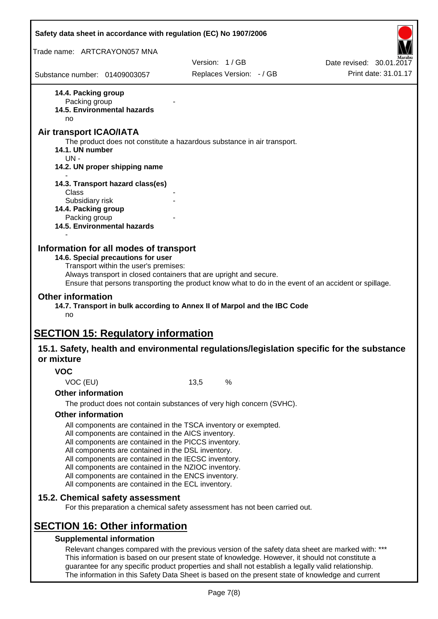|                                                         | Safety data sheet in accordance with regulation (EC) No 1907/2006                                                                                                                                                                                                                                                                                                                                                                                                 |      |                                                                                                                                                                                                         |                                                                                                       |
|---------------------------------------------------------|-------------------------------------------------------------------------------------------------------------------------------------------------------------------------------------------------------------------------------------------------------------------------------------------------------------------------------------------------------------------------------------------------------------------------------------------------------------------|------|---------------------------------------------------------------------------------------------------------------------------------------------------------------------------------------------------------|-------------------------------------------------------------------------------------------------------|
| Trade name: ARTCRAYON057 MNA                            |                                                                                                                                                                                                                                                                                                                                                                                                                                                                   |      |                                                                                                                                                                                                         |                                                                                                       |
|                                                         |                                                                                                                                                                                                                                                                                                                                                                                                                                                                   |      | Version: 1/GB                                                                                                                                                                                           | Date revised: 30.01.2017                                                                              |
| Substance number: 01409003057                           |                                                                                                                                                                                                                                                                                                                                                                                                                                                                   |      | Replaces Version: - / GB                                                                                                                                                                                | Print date: 31.01.17                                                                                  |
| 14.4. Packing group<br>Packing group<br>no              | 14.5. Environmental hazards                                                                                                                                                                                                                                                                                                                                                                                                                                       |      |                                                                                                                                                                                                         |                                                                                                       |
| Air transport ICAO/IATA<br>14.1. UN number              |                                                                                                                                                                                                                                                                                                                                                                                                                                                                   |      | The product does not constitute a hazardous substance in air transport.                                                                                                                                 |                                                                                                       |
| $UN -$                                                  | 14.2. UN proper shipping name                                                                                                                                                                                                                                                                                                                                                                                                                                     |      |                                                                                                                                                                                                         |                                                                                                       |
| Class                                                   | 14.3. Transport hazard class(es)                                                                                                                                                                                                                                                                                                                                                                                                                                  |      |                                                                                                                                                                                                         |                                                                                                       |
| Subsidiary risk<br>14.4. Packing group<br>Packing group | 14.5. Environmental hazards                                                                                                                                                                                                                                                                                                                                                                                                                                       |      |                                                                                                                                                                                                         |                                                                                                       |
| <b>Other information</b><br>no                          | Transport within the user's premises:<br>Always transport in closed containers that are upright and secure.                                                                                                                                                                                                                                                                                                                                                       |      | 14.7. Transport in bulk according to Annex II of Marpol and the IBC Code                                                                                                                                | Ensure that persons transporting the product know what to do in the event of an accident or spillage. |
|                                                         | <b>SECTION 15: Regulatory information</b>                                                                                                                                                                                                                                                                                                                                                                                                                         |      |                                                                                                                                                                                                         |                                                                                                       |
| or mixture                                              |                                                                                                                                                                                                                                                                                                                                                                                                                                                                   |      |                                                                                                                                                                                                         | 15.1. Safety, health and environmental regulations/legislation specific for the substance             |
| <b>VOC</b>                                              |                                                                                                                                                                                                                                                                                                                                                                                                                                                                   |      |                                                                                                                                                                                                         |                                                                                                       |
| VOC (EU)                                                |                                                                                                                                                                                                                                                                                                                                                                                                                                                                   | 13,5 | %                                                                                                                                                                                                       |                                                                                                       |
| <b>Other information</b>                                |                                                                                                                                                                                                                                                                                                                                                                                                                                                                   |      |                                                                                                                                                                                                         |                                                                                                       |
|                                                         |                                                                                                                                                                                                                                                                                                                                                                                                                                                                   |      | The product does not contain substances of very high concern (SVHC).                                                                                                                                    |                                                                                                       |
| <b>Other information</b>                                | All components are contained in the TSCA inventory or exempted.<br>All components are contained in the AICS inventory.<br>All components are contained in the PICCS inventory.<br>All components are contained in the DSL inventory.<br>All components are contained in the IECSC inventory.<br>All components are contained in the NZIOC inventory.<br>All components are contained in the ENCS inventory.<br>All components are contained in the ECL inventory. |      |                                                                                                                                                                                                         |                                                                                                       |
|                                                         | 15.2. Chemical safety assessment                                                                                                                                                                                                                                                                                                                                                                                                                                  |      | For this preparation a chemical safety assessment has not been carried out.                                                                                                                             |                                                                                                       |
|                                                         | <b>SECTION 16: Other information</b><br><b>Supplemental information</b>                                                                                                                                                                                                                                                                                                                                                                                           |      |                                                                                                                                                                                                         |                                                                                                       |
|                                                         |                                                                                                                                                                                                                                                                                                                                                                                                                                                                   |      | This information is based on our present state of knowledge. However, it should not constitute a<br>guarantee for any specific product properties and shall not establish a legally valid relationship. | Relevant changes compared with the previous version of the safety data sheet are marked with: ***     |

The information in this Safety Data Sheet is based on the present state of knowledge and current